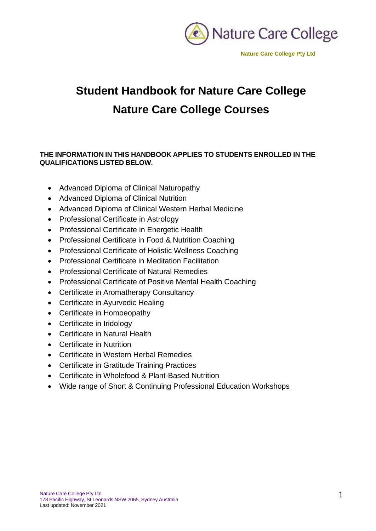

# **Student Handbook for Nature Care College Nature Care College Courses**

## **THE INFORMATION IN THIS HANDBOOK APPLIES TO STUDENTS ENROLLED IN THE QUALIFICATIONS LISTED BELOW.**

- Advanced Diploma of Clinical Naturopathy
- Advanced Diploma of Clinical Nutrition
- Advanced Diploma of Clinical Western Herbal Medicine
- Professional Certificate in Astrology
- Professional Certificate in Energetic Health
- Professional Certificate in Food & Nutrition Coaching
- Professional Certificate of Holistic Wellness Coaching
- Professional Certificate in Meditation Facilitation
- Professional Certificate of Natural Remedies
- Professional Certificate of Positive Mental Health Coaching
- Certificate in Aromatherapy Consultancy
- Certificate in Ayurvedic Healing
- Certificate in Homoeopathy
- Certificate in Iridology
- Certificate in Natural Health
- Certificate in Nutrition
- Certificate in Western Herbal Remedies
- Certificate in Gratitude Training Practices
- Certificate in Wholefood & Plant-Based Nutrition
- Wide range of Short & Continuing Professional Education Workshops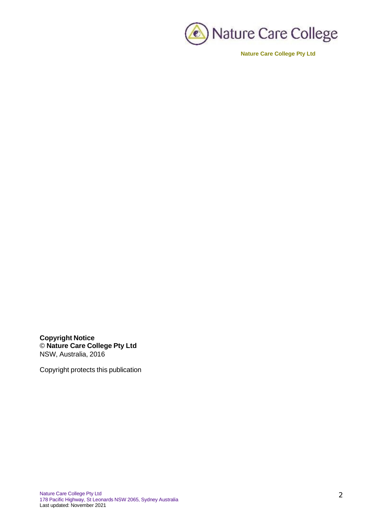

**Copyright Notice** © **Nature Care College Pty Ltd** NSW, Australia, 2016

Copyright protects this publication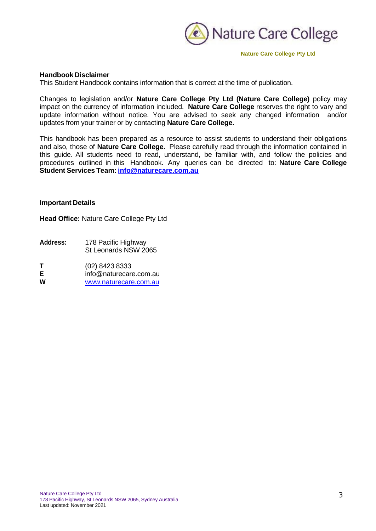

## **Handbook Disclaimer**

This Student Handbook contains information that is correct at the time of publication.

Changes to legislation and/or **Nature Care College Pty Ltd (Nature Care College)** policy may impact on the currency of information included. **Nature Care College** reserves the right to vary and update information without notice. You are advised to seek any changed information and/or updates from your trainer or by contacting **Nature Care College.**

This handbook has been prepared as a resource to assist students to understand their obligations and also, those of **Nature Care College.** Please carefully read through the information contained in this guide. All students need to read, understand, be familiar with, and follow the policies and procedures outlined in this Handbook. Any queries can be directed to: **Nature Care College Student Services Team: [info@naturecare.com.au](mailto:info@naturecare.com.au)**

## **Important Details**

**Head Office:** Nature Care College Pty Ltd

**Address:** 178 Pacific Highway St Leonards NSW 2065

**T** (02) 8423 8333<br>**E** info@naturecare

**E** [info@naturecare.com.au](mailto:info@naturecare.com.au)

**W** [www.naturecare.com.au](http://www.naturecare.com.au/)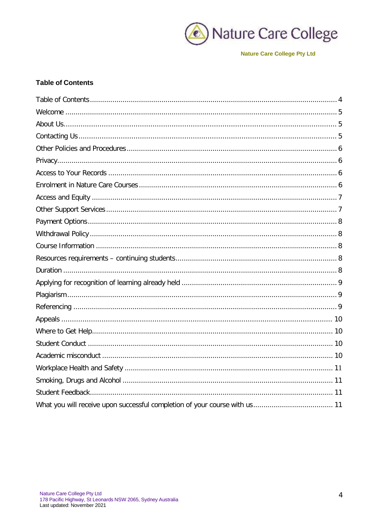

# <span id="page-3-0"></span>**Table of Contents**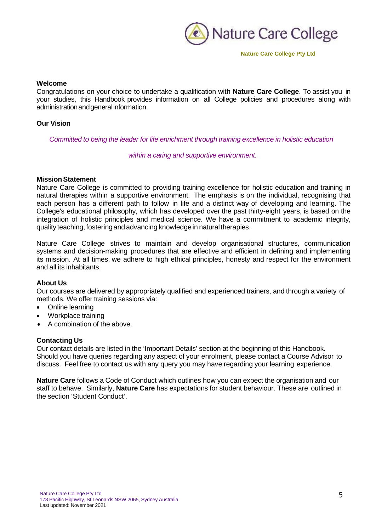

## <span id="page-4-0"></span>**Welcome**

Congratulations on your choice to undertake a qualification with **Nature Care College**. To assist you in your studies, this Handbook provides information on all College policies and procedures along with administrationandgeneralinformation.

## **Our Vision**

*Committed to being the leader for life enrichment through training excellence in holistic education*

*within a caring and supportive environment.*

## **Mission Statement**

Nature Care College is committed to providing training excellence for holistic education and training in natural therapies within a supportive environment. The emphasis is on the individual, recognising that each person has a different path to follow in life and a distinct way of developing and learning. The College's educational philosophy, which has developed over the past thirty-eight years, is based on the integration of holistic principles and medical science. We have a commitment to academic integrity, quality teaching, fostering and advancing knowledge in natural therapies.

Nature Care College strives to maintain and develop organisational structures, communication systems and decision-making procedures that are effective and efficient in defining and implementing its mission. At all times, we adhere to high ethical principles, honesty and respect for the environment and all its inhabitants.

## <span id="page-4-1"></span>**About Us**

Our courses are delivered by appropriately qualified and experienced trainers, and through a variety of methods. We offer training sessions via:

- Online learning
- Workplace training
- A combination of the above.

## <span id="page-4-2"></span>**Contacting Us**

Our contact details are listed in the 'Important Details' section at the beginning of this Handbook. Should you have queries regarding any aspect of your enrolment, please contact a Course Advisor to discuss. Feel free to contact us with any query you may have regarding your learning experience.

**Nature Care** follows a Code of Conduct which outlines how you can expect the organisation and our staff to behave. Similarly, **Nature Care** has expectations for student behaviour. These are outlined in the section 'Student Conduct'.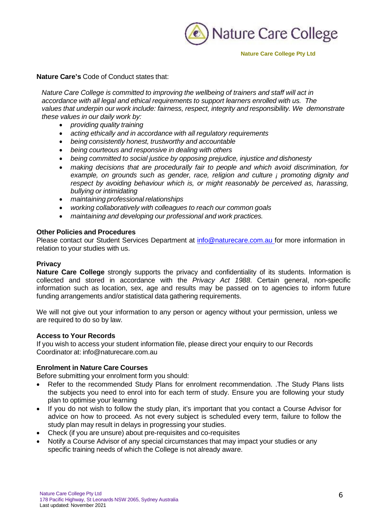

## **Nature Care's** Code of Conduct states that:

*Nature Care College is committed to improving the wellbeing of trainers and staff will act in accordance with all legal and ethical requirements to support learners enrolled with us. The values that underpin our work include: fairness, respect, integrity and responsibility. We demonstrate these values in our daily work by:*

- *providing quality training*
- *acting ethically and in accordance with all regulatory requirements*
- *being consistently honest, trustworthy and accountable*
- *being courteous and responsive in dealing with others*
- *being committed to social justice by opposing prejudice, injustice and dishonesty*
- *making decisions that are procedurally fair to people and which avoid discrimination, for example, on grounds such as gender, race, religion and culture ¡ promoting dignity and respect by avoiding behaviour which is, or might reasonably be perceived as, harassing, bullying or intimidating*
- *maintaining professional relationships*
- *working collaboratively with colleagues to reach our common goals*
- *maintaining and developing our professional and work practices.*

## <span id="page-5-0"></span>**Other Policies and Procedures**

Please contact our Student Services Department at [info@naturecare.com.au](mailto:info@naturecare.com.au) for more information in relation to your studies with us.

## <span id="page-5-1"></span>**Privacy**

**Nature Care College** strongly supports the privacy and confidentiality of its students. Information is collected and stored in accordance with the *Privacy Act 1988*. Certain general, non-specific information such as location, sex, age and results may be passed on to agencies to inform future funding arrangements and/or statistical data gathering requirements.

We will not give out your information to any person or agency without your permission, unless we are required to do so by law.

## <span id="page-5-2"></span>**Access to Your Records**

If you wish to access your student information file, please direct your enquiry to our Records Coordinator at: [info@naturecare.com.au](mailto:info@naturecare.com.au)

## <span id="page-5-3"></span>**Enrolment in Nature Care Courses**

Before submitting your enrolment form you should:

- Refer to the recommended Study Plans for enrolment recommendation. .The Study Plans lists the subjects you need to enrol into for each term of study. Ensure you are following your study plan to optimise your learning
- If you do not wish to follow the study plan, it's important that you contact a Course Advisor for advice on how to proceed. As not every subject is scheduled every term, failure to follow the study plan may result in delays in progressing your studies.
- Check (if you are unsure) about pre-requisites and co-requisites
- Notify a Course Advisor of any special circumstances that may impact your studies or any specific training needs of which the College is not already aware.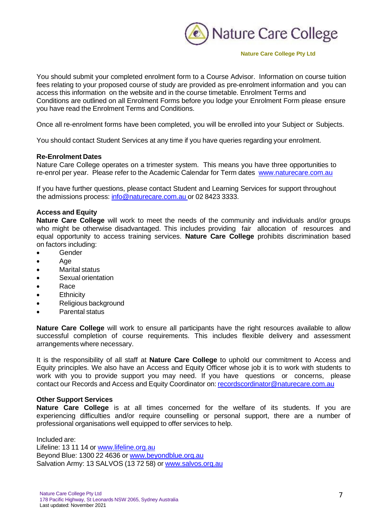

You should submit your completed enrolment form to a Course Advisor. Information on course tuition fees relating to your proposed course of study are provided as pre-enrolment information and you can access this information on the website and in the course timetable. Enrolment Terms and Conditions are outlined on all Enrolment Forms before you lodge your Enrolment Form please ensure you have read the Enrolment Terms and Conditions.

Once all re-enrolment forms have been completed, you will be enrolled into your Subject or Subjects.

You should contact Student Services at any time if you have queries regarding your enrolment.

## **Re-Enrolment Dates**

Nature Care College operates on a trimester system. This means you have three opportunities to re-enrol per year. Please refer to the Academic Calendar for Term dates [www.naturecare.com.au](http://www.naturecare.com.au/)

If you have further questions, please contact Student and Learning Services for support throughout the admissions process: [info@naturecare.com.au](mailto:info@naturecare.com.au) or 02 8423 3333.

## <span id="page-6-0"></span>**Access and Equity**

**Nature Care College** will work to meet the needs of the community and individuals and/or groups who might be otherwise disadvantaged. This includes providing fair allocation of resources and equal opportunity to access training services. **Nature Care College** prohibits discrimination based on factors including:

- Gender
- Age
- Marital status
- Sexual orientation
- Race
- Ethnicity
- Religious background
- Parental status

**Nature Care College** will work to ensure all participants have the right resources available to allow successful completion of course requirements. This includes flexible delivery and assessment arrangements where necessary.

It is the responsibility of all staff at **Nature Care College** to uphold our commitment to Access and Equity principles. We also have an Access and Equity Officer whose job it is to work with students to work with you to provide support you may need. If you have questions or concerns, please contact our Records and Access and Equity Coordinator on: [recordscordinator@naturecare.com.au](mailto:recordscordinator@naturecare.com.au)

## <span id="page-6-1"></span>**Other Support Services**

**Nature Care College** is at all times concerned for the welfare of its students. If you are experiencing difficulties and/or require counselling or personal support, there are a number of professional organisations well equipped to offer services to help.

Included are: Lifeline: 13 11 14 or [www.lifeline.org.au](http://www.lifeline.org.au/) Beyond Blue: 1300 22 4636 or [www.beyondblue.org.au](http://www.beyondblue.org.au/) Salvation Army: 13 SALVOS (13 72 58) or [www.salvos.org.au](http://www.salvos.org.au/)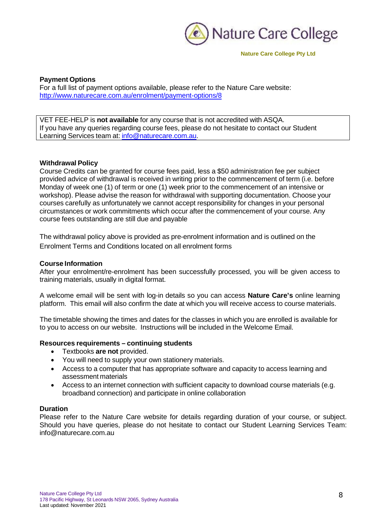

## <span id="page-7-0"></span>**Payment Options**

For a full list of payment options available, please refer to the Nature Care website: <http://www.naturecare.com.au/enrolment/payment-options/8>

VET FEE-HELP is **not available** for any course that is not accredited with ASQA. If you have any queries regarding course fees, please do not hesitate to contact our Student Learning Services team at: [info@naturecare.com.au.](mailto:info@naturecare.com.au)

#### <span id="page-7-1"></span>**Withdrawal Policy**

Course Credits can be granted for course fees paid, less a \$50 administration fee per subject provided advice of withdrawal is received in writing prior to the commencement of term (i.e. before Monday of week one (1) of term or one (1) week prior to the commencement of an intensive or workshop). Please advise the reason for withdrawal with supporting documentation. Choose your courses carefully as unfortunately we cannot accept responsibility for changes in your personal circumstances or work commitments which occur after the commencement of your course. Any course fees outstanding are still due and payable

The withdrawal policy above is provided as pre-enrolment information and is outlined on the Enrolment Terms and Conditions located on all enrolment forms

#### <span id="page-7-2"></span>**Course Information**

After your enrolment/re-enrolment has been successfully processed, you will be given access to training materials, usually in digital format.

A welcome email will be sent with log-in details so you can access **Nature Care's** online learning platform. This email will also confirm the date at which you will receive access to course materials.

The timetable showing the times and dates for the classes in which you are enrolled is available for to you to access on our website. Instructions will be included in the Welcome Email.

#### <span id="page-7-3"></span>**Resources requirements – continuing students**

- Textbooks **are not** provided.
- You will need to supply your own stationery materials.
- Access to a computer that has appropriate software and capacity to access learning and assessment materials
- Access to an internet connection with sufficient capacity to download course materials (e.g. broadband connection) and participate in online collaboration

## <span id="page-7-4"></span>**Duration**

Please refer to the Nature Care website for details regarding duration of your course, or subject. Should you have queries, please do not hesitate to contact our Student Learning Services Te[am:](mailto:info@naturecare.com.au) [info@naturecare.com.au](mailto:info@naturecare.com.au)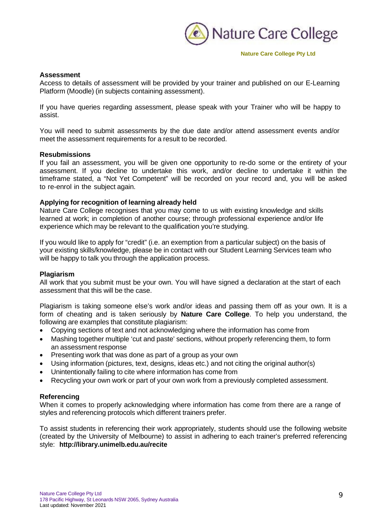

## **Assessment**

Access to details of assessment will be provided by your trainer and published on our E-Learning Platform (Moodle) (in subjects containing assessment).

If you have queries regarding assessment, please speak with your Trainer who will be happy to assist.

You will need to submit assessments by the due date and/or attend assessment events and/or meet the assessment requirements for a result to be recorded.

#### **Resubmissions**

If you fail an assessment, you will be given one opportunity to re-do some or the entirety of your assessment. If you decline to undertake this work, and/or decline to undertake it within the timeframe stated, a "Not Yet Competent" will be recorded on your record and, you will be asked to re-enrol in the subject again.

## <span id="page-8-0"></span>**Applying for recognition of learning already held**

Nature Care College recognises that you may come to us with existing knowledge and skills learned at work; in completion of another course; through professional experience and/or life experience which may be relevant to the qualification you're studying.

If you would like to apply for "credit" (i.e. an exemption from a particular subject) on the basis of your existing skills/knowledge, please be in contact with our Student Learning Services team who will be happy to talk you through the application process.

## <span id="page-8-1"></span>**Plagiarism**

All work that you submit must be your own. You will have signed a declaration at the start of each assessment that this will be the case.

Plagiarism is taking someone else's work and/or ideas and passing them off as your own. It is a form of cheating and is taken seriously by **Nature Care College**. To help you understand, the following are examples that constitute plagiarism:

- Copying sections of text and not acknowledging where the information has come from
- Mashing together multiple 'cut and paste' sections, without properly referencing them, to form an assessment response
- Presenting work that was done as part of a group as your own
- Using information (pictures, text, designs, ideas etc.) and not citing the original author(s)
- Unintentionally failing to cite where information has come from
- Recycling your own work or part of your own work from a previously completed assessment.

## <span id="page-8-2"></span>**Referencing**

When it comes to properly acknowledging where information has come from there are a range of styles and referencing protocols which different trainers prefer.

To assist students in referencing their work appropriately, students should use the following website (created by the University of Melbourne) to assist in adhering to each trainer's preferred referencing style: **<http://library.unimelb.edu.au/recite>**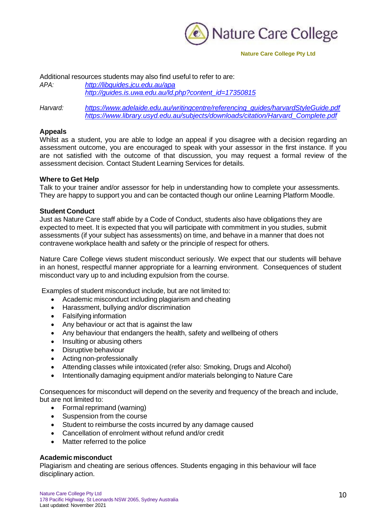

Additional resources students may also find [useful](http://guides.is.uwa.edu.au/ld.php?content_id=17350815) to refer to are:<br>APA: http://libquides.icu.edu.au/apa *APA: <http://libguides.jcu.edu.au/apa> [http://guides.is.uwa.edu.au/ld.php?content\\_id=17350815](http://guides.is.uwa.edu.au/ld.php?content_id=17350815)*

*Harvard: [https://www.adelaide.edu.au/writingcentre/referencing\\_guides/harvardStyleGuide.pdf](https://www.adelaide.edu.au/writingcentre/referencing_guides/harvardStyleGuide.pdf) [https://www.library.usyd.edu.au/subjects/downloads/citation/Harvard\\_Complete.pdf](https://www.library.usyd.edu.au/subjects/downloads/citation/Harvard_Complete.pdf)*

## <span id="page-9-0"></span>**Appeals**

Whilst as a student, you are able to lodge an appeal if you disagree with a decision regarding an assessment outcome, you are encouraged to speak with your assessor in the first instance. If you are not satisfied with the outcome of that discussion, you may request a formal review of the assessment decision. Contact Student Learning Services for details.

## <span id="page-9-1"></span>**Where to Get Help**

Talk to your trainer and/or assessor for help in understanding how to complete your assessments. They are happy to support you and can be contacted though our online Learning Platform Moodle.

## <span id="page-9-2"></span>**Student Conduct**

Just as Nature Care staff abide by a Code of Conduct, students also have obligations they are expected to meet. It is expected that you will participate with commitment in you studies, submit assessments (if your subject has assessments) on time, and behave in a manner that does not contravene workplace health and safety or the principle of respect for others.

Nature Care College views student misconduct seriously. We expect that our students will behave in an honest, respectful manner appropriate for a learning environment. Consequences of student misconduct vary up to and including expulsion from the course.

Examples of student misconduct include, but are not limited to:

- Academic misconduct including plagiarism and cheating
- Harassment, bullying and/or discrimination
- Falsifying information
- Any behaviour or act that is against the law
- Any behaviour that endangers the health, safety and wellbeing of others
- Insulting or abusing others
- Disruptive behaviour
- Acting non-professionally
- Attending classes while intoxicated (refer also: Smoking, Drugs and Alcohol)
- Intentionally damaging equipment and/or materials belonging to Nature Care

Consequences for misconduct will depend on the severity and frequency of the breach and include, but are not limited to:

- Formal reprimand (warning)
- Suspension from the course
- Student to reimburse the costs incurred by any damage caused
- Cancellation of enrolment without refund and/or credit
- Matter referred to the police

## <span id="page-9-3"></span>**Academic misconduct**

Plagiarism and cheating are serious offences. Students engaging in this behaviour will face disciplinary action.